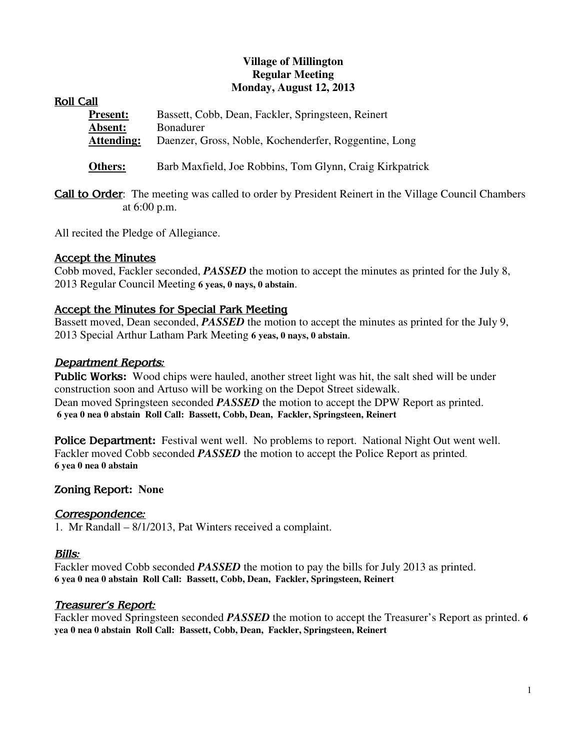### **Village of Millington Regular Meeting Monday, August 12, 2013**

|--|

| <b>Present:</b>   | Bassett, Cobb, Dean, Fackler, Springsteen, Reinert    |
|-------------------|-------------------------------------------------------|
| Absent:           | <b>Bonadurer</b>                                      |
| <b>Attending:</b> | Daenzer, Gross, Noble, Kochenderfer, Roggentine, Long |
|                   |                                                       |

- **Others:** Barb Maxfield, Joe Robbins, Tom Glynn, Craig Kirkpatrick
- **Call to Order:** The meeting was called to order by President Reinert in the Village Council Chambers at 6:00 p.m.

All recited the Pledge of Allegiance.

## Accept the Minutes

Cobb moved, Fackler seconded, *PASSED* the motion to accept the minutes as printed for the July 8, 2013 Regular Council Meeting **6 yeas, 0 nays, 0 abstain**.

## Accept the Minutes for Special Park Meeting

Bassett moved, Dean seconded, *PASSED* the motion to accept the minutes as printed for the July 9, 2013 Special Arthur Latham Park Meeting **6 yeas, 0 nays, 0 abstain**.

#### Department Reports*:*

Public Works**:** Wood chips were hauled, another street light was hit, the salt shed will be under construction soon and Artuso will be working on the Depot Street sidewalk. Dean moved Springsteen seconded *PASSED* the motion to accept the DPW Report as printed. **6 yea 0 nea 0 abstain Roll Call: Bassett, Cobb, Dean, Fackler, Springsteen, Reinert**

**Police Department:** Festival went well. No problems to report. National Night Out went well. Fackler moved Cobb seconded *PASSED* the motion to accept the Police Report as printed. **6 yea 0 nea 0 abstain** 

## Zoning Report**: None**

## Correspondence*:*

1. Mr Randall – 8/1/2013, Pat Winters received a complaint.

## Bills*:*

Fackler moved Cobb seconded *PASSED* the motion to pay the bills for July 2013 as printed. **6 yea 0 nea 0 abstain Roll Call: Bassett, Cobb, Dean, Fackler, Springsteen, Reinert** 

## Treasurer's Report*:*

Fackler moved Springsteen seconded *PASSED* the motion to accept the Treasurer's Report as printed. **6 yea 0 nea 0 abstain Roll Call: Bassett, Cobb, Dean, Fackler, Springsteen, Reinert**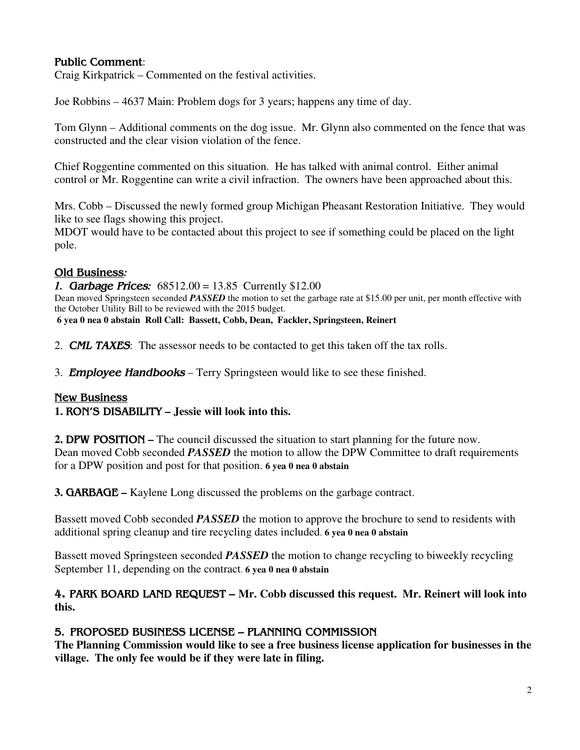## Public Comment:

Craig Kirkpatrick – Commented on the festival activities.

Joe Robbins – 4637 Main: Problem dogs for 3 years; happens any time of day.

Tom Glynn – Additional comments on the dog issue. Mr. Glynn also commented on the fence that was constructed and the clear vision violation of the fence.

Chief Roggentine commented on this situation. He has talked with animal control. Either animal control or Mr. Roggentine can write a civil infraction. The owners have been approached about this.

Mrs. Cobb – Discussed the newly formed group Michigan Pheasant Restoration Initiative. They would like to see flags showing this project.

MDOT would have to be contacted about this project to see if something could be placed on the light pole.

## Old Business*:*

*1.* Garbage Prices*:* 68512.00 = 13.85 Currently \$12.00 Dean moved Springsteen seconded *PASSED* the motion to set the garbage rate at \$15.00 per unit, per month effective with the October Utility Bill to be reviewed with the 2015 budget. **6 yea 0 nea 0 abstain Roll Call: Bassett, Cobb, Dean, Fackler, Springsteen, Reinert**

2. **CML TAXES:** The assessor needs to be contacted to get this taken off the tax rolls.

3. **Employee Handbooks** – Terry Springsteen would like to see these finished.

## New Business

## **1.** RON'S DISABILITY **– Jessie will look into this.**

**2. DPW POSITION** – The council discussed the situation to start planning for the future now. Dean moved Cobb seconded *PASSED* the motion to allow the DPW Committee to draft requirements for a DPW position and post for that position. **6 yea 0 nea 0 abstain** 

**3.** GARBAGE **–** Kaylene Long discussed the problems on the garbage contract.

Bassett moved Cobb seconded *PASSED* the motion to approve the brochure to send to residents with additional spring cleanup and tire recycling dates included. **6 yea 0 nea 0 abstain**

Bassett moved Springsteen seconded *PASSED* the motion to change recycling to biweekly recycling September 11, depending on the contract. **6 yea 0 nea 0 abstain**

## 4. PARK BOARD LAND REQUEST – **Mr. Cobb discussed this request. Mr. Reinert will look into this.**

# 5**.** PROPOSED BUSINESS LICENSE – PLANNING COMMISSION

**The Planning Commission would like to see a free business license application for businesses in the village. The only fee would be if they were late in filing.**